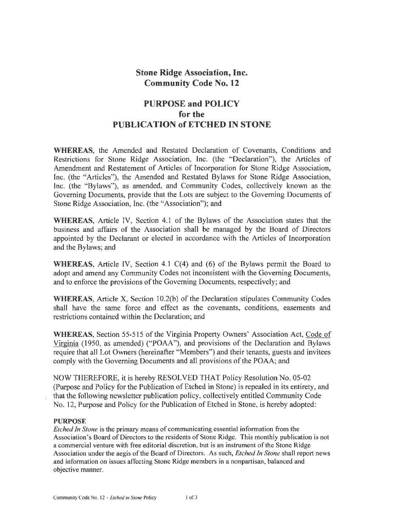### **Stone Ridge Association, Inc. Community Code No. 12**

# **PURPOSE and POLICY for the PUBLICATION of ETCHED IN STONE**

**WHEREAS,** the Amended and Restated Declaration of Covenants, Conditions and Restrictions for Stone Ridge Association, Inc. (the "Declaration"), the Articles of Amendment and Restatement of Articles of Incorporation for Stone Ridge Association, Inc. (the "Articles"), the Amended and Restated Bylaws for Stone Ridge Association, Inc. (the "Bylaws"), as amended, and Community Codes, collectively known as the Governing Documents, provide that the Lots are subject to the Governing Documents of Stone Ridge Association, Inc. (the "Association"); and

**WHEREAS,** Article IV, Section 4.1 of the Bylaws of the Association states that the business and affairs of the Association shall be managed by the Board of Directors appointed by the Declarant or elected in accordance with the Articles of Incorporation and the Bylaws; and

**WHEREAS,** Article IV, Section 4.1 C(4) and (6) of the Bylaws permit the Board to adopt and amend any Community Codes not inconsistent with the Governing Documents, and to enforce the provisions of the Governing Documents, respectively; and

**WHEREAS,** Article X, Section 10.2(b) of the Declaration stipulates Community Codes shall have the same force and effect as the covenants, conditions, easements and restrictions contained within the Declaration; and

**WHEREAS,** Section 55-515 of the Virginia Property Owners' Association Act, Code of Virginia (1950, as amended) ("POAA"), and provisions of the Declaration and Bylaws require that all Lot Owners (hereinafter "Members") and their tenants, guests and invitees comply with the Governing Documents and all provisions of the POAA; and

NOW THEREFORE, it is hereby RESOLVED THAT Policy Resolution No. 05-02 (Purpose and Policy for the Publication of Etched in Stone) is repealed in its entirety, and that the following newsletter publication policy, collectively entitled Community Code No. 12, Purpose and Policy for the Publication of Etched in Stone, is hereby adopted:

#### **PURPOSE**

*Etched In Stone* is the primary means of communicating essential information from the Association's Board of Directors to the residents of Stone Ridge. This monthly publication is not a commercial venture with free editorial discretion, but is an instrument of the Stone Ridge Association under the aegis of the Board of Directors. As such, *Etched In Stone* shall report news and information on issues affecting Stone Ridge members in a nonpartisan, balanced and objective manner.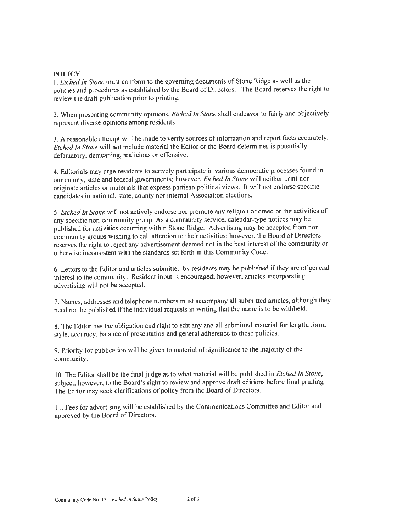### **POLICY**

I. *Etched In Stone* must conform to the governing documents of Stone Ridge as well as the policies and procedures as established by the Board of Directors. The Board reserves the right to review the draft publication prior to printing.

2. When presenting community opinions, *Etched In Stone* shall endeavor to fairly and objectively represent diverse opinions among residents.

3. A reasonable attempt will be made to verify sources of information and report facts accurately. *Etched In Stone* will not include material the Editor or the Board determines is potentially defamatory, demeaning, malicious or offensive.

4. Editorials may urge residents to actively participate in various democratic processes found in our county, state and federal governments; however, *Etched In Stone* will neither print nor originate articles or materials that express partisan political views. It will not endorse specific candidates in national, state, county nor internal Association elections.

5. *Etched In Stone* will not actively endorse nor promote any religion or creed or the activities of any specific non-community group. As a community service, calendar-type notices may be published for activities occurring within Stone Ridge. Advertising may be accepted from noncommunity groups wishing to call attention to their activities; however, the Board of Directors reserves the right to reject any advertisement deemed not in the best interest of the community or otherwise inconsistent with the standards set forth in this Community Code.

6. Letters to the Editor and articles submitted by residents may be published if they are of general interest to the community. Resident input is encouraged; however, articles incorporating advertising will not be accepted.

7. Names, addresses and telephone numbers must accompany all submitted articles, although they need not be published if the individual requests in writing that the name is to be withheld.

8. The Editor has the obligation and right to edit any and all submitted material for length, form, style, accuracy, balance of presentation and general adherence to these policies.

9. Priority for publication will be given to material of significance to the majority of the community.

I 0. The Editor shall be the final judge as to what material will be published in *Etched In Stone,*  subject, however, to the Board's right to review and approve draft editions before final printing The Editor may seek clarifications of policy from the Board of Directors.

11. Fees for advertising will be established by the Communications Committee and Editor and approved by the Board of Directors.